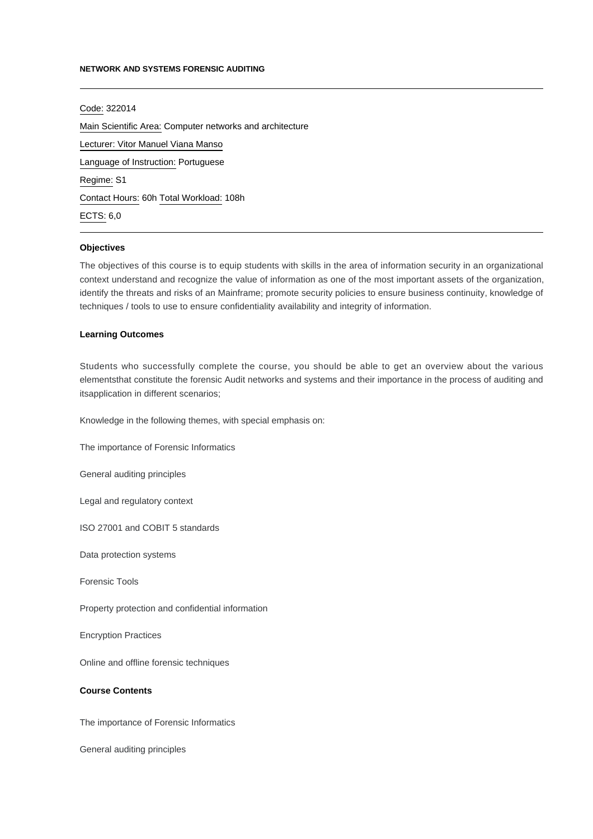### **NETWORK AND SYSTEMS FORENSIC AUDITING**

Code: 322014 Main Scientific Area: Computer networks and architecture Lecturer: [Vitor Manuel Viana Manso](mailto:vitormanso@ipca.pt) Language of Instruction: Portuguese Regime: S1 Contact Hours: 60h Total Workload: 108h ECTS: 6,0

## **Objectives**

The objectives of this course is to equip students with skills in the area of information security in an organizational context understand and recognize the value of information as one of the most important assets of the organization, identify the threats and risks of an Mainframe; promote security policies to ensure business continuity, knowledge of techniques / tools to use to ensure confidentiality availability and integrity of information.

### **Learning Outcomes**

Students who successfully complete the course, you should be able to get an overview about the various elementsthat constitute the forensic Audit networks and systems and their importance in the process of auditing and itsapplication in different scenarios;

Knowledge in the following themes, with special emphasis on:

The importance of Forensic Informatics

General auditing principles

Legal and regulatory context

ISO 27001 and COBIT 5 standards

Data protection systems

Forensic Tools

Property protection and confidential information

Encryption Practices

Online and offline forensic techniques

## **Course Contents**

The importance of Forensic Informatics

General auditing principles